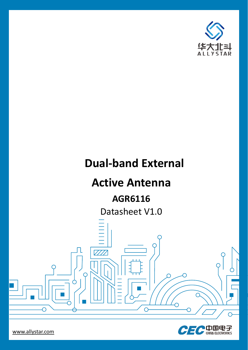

# **Dual-band External**

## **Active Antenna**

## **AGR6116**

Datasheet V1.0

 $\sqrt{111}$ 

◠



 $\subset$ 

 $\bigcap$ 

◠

 $\overline{O}$ 

www.allystar.com

 $\overline{\bigcirc}$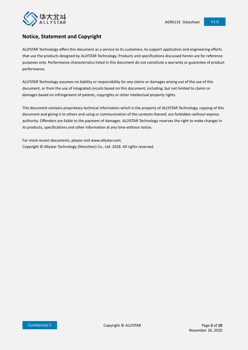

### **Notice, Statement and Copyright**

ALLYSTAR Technology offers this document as a service to its customers, to support application and engineering efforts that use the products designed by ALLYSTAR Technology. Products and specifications discussed herein are for reference purposes only. Performance characteristics listed in this document do not constitute a warranty or guarantee of product performance.

ALLYSTAR Technology assumes no liability or responsibility for any claims or damages arising out of the use of this document, or from the use of integrated circuits based on this document, including, but not limited to claims or damages based on infringement of patents, copyrights or other intellectual property rights.

This document contains proprietary technical information which is the property of ALLYSTAR Technology, copying of this document and giving it to others and using or communication of the contents thereof, are forbidden without express authority. Offenders are liable to the payment of damages. ALLYSTAR Technology reserves the right to make changes in its products, specifications and other information at any time without notice.

For more recent documents, please visit www.allystar.com. Copyright © Allystar Technology (Shenzhen) Co., Ltd. 2018. All rights reserved.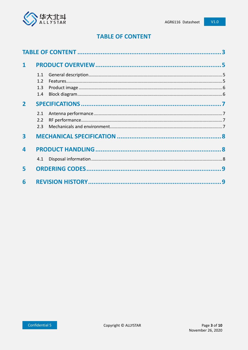

### **TABLE OF CONTENT**

<span id="page-2-0"></span>

| $\mathbf{1}$   |                          |   |
|----------------|--------------------------|---|
|                | 1.1<br>1.2<br>1.3<br>1.4 |   |
| $\overline{2}$ |                          |   |
|                | 2.1<br>2.2<br>2.3        |   |
| 3              |                          |   |
| 4              |                          |   |
|                | 4.1                      |   |
| 5              |                          |   |
| 6              |                          | 9 |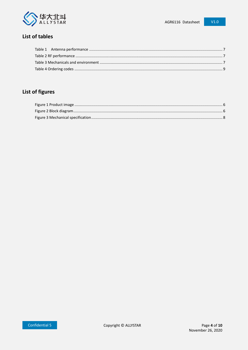

### $V1.0$

### List of tables

## List of figures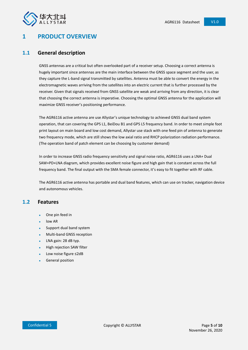

### <span id="page-4-0"></span>**1 PRODUCT OVERVIEW**

#### <span id="page-4-1"></span>**1.1 General description**

GNSS antennas are a critical but often overlooked part of a receiver setup. Choosing a correct antenna is hugely important since antennas are the main interface between the GNSS space segment and the user, as they capture the L-band signal transmitted by satellites. Antenna must be able to convert the energy in the electromagnetic waves arriving from the satellites into an electric current that is further processed by the receiver. Given that signals received from GNSS satellite are weak and arriving from any direction, it is clear that choosing the correct antenna is imperative. Choosing the optimal GNSS antenna for the application will maximize GNSS receiver's positioning performance.

The AGR6116 active antenna are use Allystar's unique technology to achieved GNSS dual band system operation, that can covering the GPS L1, BeiDou B1 and GPS L5 frequency band. In order to meet simple foot print layout on main board and low cost demand, Allystar use stack with one feed pin of antenna to generate two frequency mode, which are still shows the low axial ratio and RHCP polarization radiation performance. (The operation band of patch element can be choosing by customer demand)

In order to increase GNSS radio frequency sensitivity and signal noise ratio, AGR6116 uses a LNA+ Dual SAW+PD+LNA diagram, which provides excellent noise figure and high gain that is constant across the full frequency band. The final output with the SMA female connector, it's easy to fit together with RF cable.

The AGR6116 active antenna has portable and dual band features, which can use on tracker, navigation device and autonomous vehicles.

#### <span id="page-4-2"></span>**1.2 Features**

- One pin feed in
- low AR
- Support dual band system
- Multi-band GNSS reception
- LNA gain: 28 dB typ.
- High rejection SAW filter
- Low noise figure ≤2dB
- General position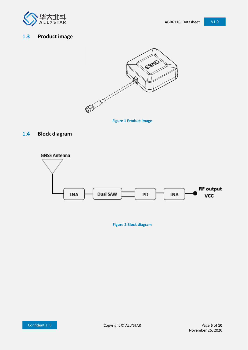

### <span id="page-5-2"></span><span id="page-5-0"></span>**1.3 Product image**



**Figure 1 Product image**

### <span id="page-5-1"></span>**1.4 Block diagram**

<span id="page-5-3"></span>

**Figure 2 Block diagram**

Confidential 5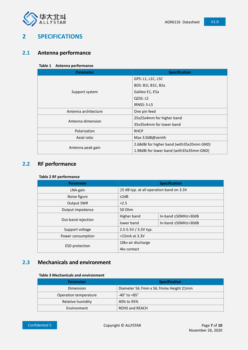

### <span id="page-6-0"></span>**2 SPECIFICATIONS**

### <span id="page-6-4"></span><span id="page-6-1"></span>**2.1 Antenna performance**

#### **Table 1 Antenna performance**

| <b>Parameter</b>     | <b>Specification</b>                      |  |  |  |  |
|----------------------|-------------------------------------------|--|--|--|--|
|                      | GPS: L1, L1C, L5C                         |  |  |  |  |
|                      | BDS: B1I, B1C, B2a                        |  |  |  |  |
| Support system       | Galileo E1, E5a                           |  |  |  |  |
|                      | QZSS: L5                                  |  |  |  |  |
|                      | <b>IRNSS: S-L5</b>                        |  |  |  |  |
| Antenna architecture | One pin feed                              |  |  |  |  |
| Antenna dimension    | 25x25x4mm for higher band                 |  |  |  |  |
|                      | 35x35x4mm for lower band                  |  |  |  |  |
| Polarization         | <b>RHCP</b>                               |  |  |  |  |
| Axial ratio          | Max 3.0dB@zenith                          |  |  |  |  |
|                      | 2.68dBi for higher band (with35x35mm GND) |  |  |  |  |
| Antenna peak gain    | 1.98dBi for lower band (with35x35mm GND)  |  |  |  |  |

### <span id="page-6-5"></span><span id="page-6-2"></span>**2.2 RF performance**

#### **Table 2 RF performance**

| <b>Parameter</b>      | <b>Specification</b>                     |                     |  |  |
|-----------------------|------------------------------------------|---------------------|--|--|
| LNA gain              | 28 dB typ. at all operation band on 3.3V |                     |  |  |
| Noise figure          | $\leq$ 2dB                               |                     |  |  |
| Output SWR            | < 2.5                                    |                     |  |  |
| Output impedance      | 50 Ohm                                   |                     |  |  |
|                       | Higher band                              | In-band ±50MHz>30dB |  |  |
| Out-band rejection    | lower band                               | In-band ±50MHz>30dB |  |  |
| Support voltage       | 2.5-5.5V / 3.3V typ.                     |                     |  |  |
| Power consumption     | $<$ 15 mA at 3.3V                        |                     |  |  |
|                       | 10kv air discharge                       |                     |  |  |
| <b>ESD</b> protection | 4ky contact                              |                     |  |  |

### <span id="page-6-6"></span><span id="page-6-3"></span>**2.3 Mechanicals and environment**

#### **Table 3 Mechanicals and environment**

| <b>Parameter</b>      | <b>Specification</b>                  |
|-----------------------|---------------------------------------|
| Dimension             | Diameter 56.7mm x 56.7mmx Height 21mm |
| Operation temperature | $-40^\circ$ to $+85^\circ$            |
| Relative humidity     | 40% to 95%                            |
| Environment           | ROHS and REACH                        |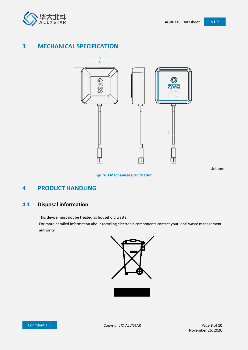

### <span id="page-7-0"></span>**3 MECHANICAL SPECIFICATION**



Unit:mm

#### **Figure 3 Mechanical specification**

### <span id="page-7-3"></span><span id="page-7-1"></span>**4 PRODUCT HANDLING**

### <span id="page-7-2"></span>**4.1 Disposal information**

This device must not be treated as household waste.

For more detailed information about recycling electronic components contact your local waste management authority.



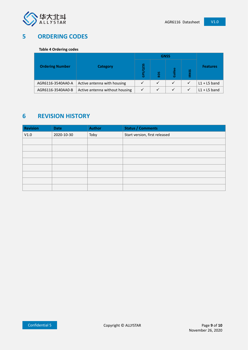

### <span id="page-8-2"></span><span id="page-8-0"></span>**5 ORDERING CODES**

#### **Table 4 Ordering codes**

|                        |                                | <b>GNSS</b>             |              |              |              |                 |  |
|------------------------|--------------------------------|-------------------------|--------------|--------------|--------------|-----------------|--|
| <b>Ordering Number</b> | <b>Category</b>                | QZSS<br>GPS <sub></sub> | <b>SOS</b>   | alileo<br>Ø. | <b>IRNSS</b> | <b>Features</b> |  |
| AGR6116-3540AA0-A      | Active antenna with housing    | ✓                       | $\checkmark$ | ✓            | ✓            | $L1 + L5$ band  |  |
| AGR6116-3540AA0-B      | Active antenna without housing | ✓                       | $\checkmark$ | $\checkmark$ | $\checkmark$ | $L1 + L5$ band  |  |

### <span id="page-8-1"></span>**6 REVISION HISTORY**

| <b>Revision</b> | <b>Date</b> | <b>Author</b> | <b>Status / Comments</b>      |
|-----------------|-------------|---------------|-------------------------------|
| V1.0            | 2020-10-30  | Toby          | Start version, first released |
|                 |             |               |                               |
|                 |             |               |                               |
|                 |             |               |                               |
|                 |             |               |                               |
|                 |             |               |                               |
|                 |             |               |                               |
|                 |             |               |                               |
|                 |             |               |                               |